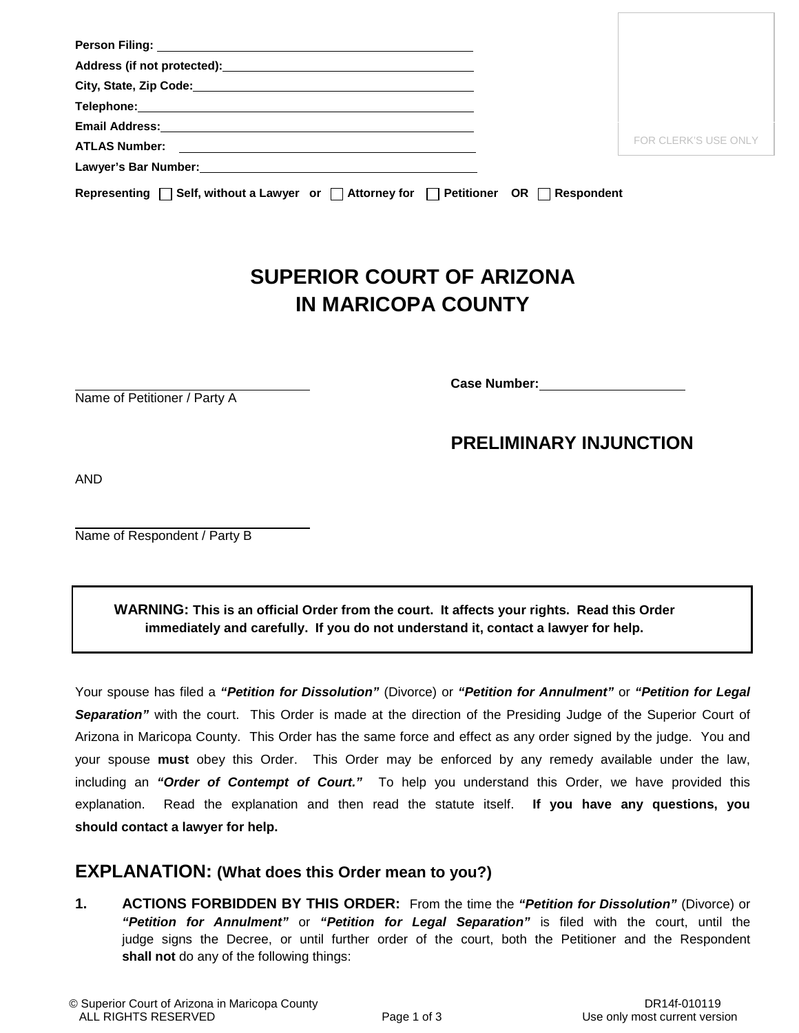| Telephone: with the contract of the contract of the contract of the contract of the contract of the contract of the contract of the contract of the contract of the contract of the contract of the contract of the contract o |            |                             |
|--------------------------------------------------------------------------------------------------------------------------------------------------------------------------------------------------------------------------------|------------|-----------------------------|
| Email Address: No. 1996. The Contract of the Contract of the Contract of the Contract of the Contract of the Contract of the Contract of the Contract of the Contract of the Contract of the Contract of the Contract of the C |            |                             |
| <b>ATLAS Number:</b><br><u> 1989 - Andrea Brand, Amerikaansk politiker (d. 1989)</u>                                                                                                                                           |            | <b>FOR CLERK'S USE ONLY</b> |
|                                                                                                                                                                                                                                |            |                             |
| Representing $\Box$ Self, without a Lawyer or $\Box$ Attorney for $\Box$ Petitioner OR $\Box$                                                                                                                                  | Respondent |                             |

## **SUPERIOR COURT OF ARIZONA IN MARICOPA COUNTY**

Name of Petitioner / Party A

**Case Number:**

## **PRELIMINARY INJUNCTION**

AND

Name of Respondent / Party B

**WARNING: This is an official Order from the court. It affects your rights. Read this Order immediately and carefully. If you do not understand it, contact a lawyer for help.**

Your spouse has filed a *"Petition for Dissolution"* (Divorce) or *"Petition for Annulment"* or *"Petition for Legal Separation"* with the court. This Order is made at the direction of the Presiding Judge of the Superior Court of Arizona in Maricopa County. This Order has the same force and effect as any order signed by the judge. You and your spouse **must** obey this Order. This Order may be enforced by any remedy available under the law, including an *"Order of Contempt of Court."* To help you understand this Order, we have provided this explanation. Read the explanation and then read the statute itself. **If you have any questions, you should contact a lawyer for help.**

## **EXPLANATION: (What does this Order mean to you?)**

**1. ACTIONS FORBIDDEN BY THIS ORDER:** From the time the *"Petition for Dissolution"* (Divorce) or *"Petition for Annulment"* or *"Petition for Legal Separation"* is filed with the court, until the judge signs the Decree, or until further order of the court, both the Petitioner and the Respondent **shall not** do any of the following things: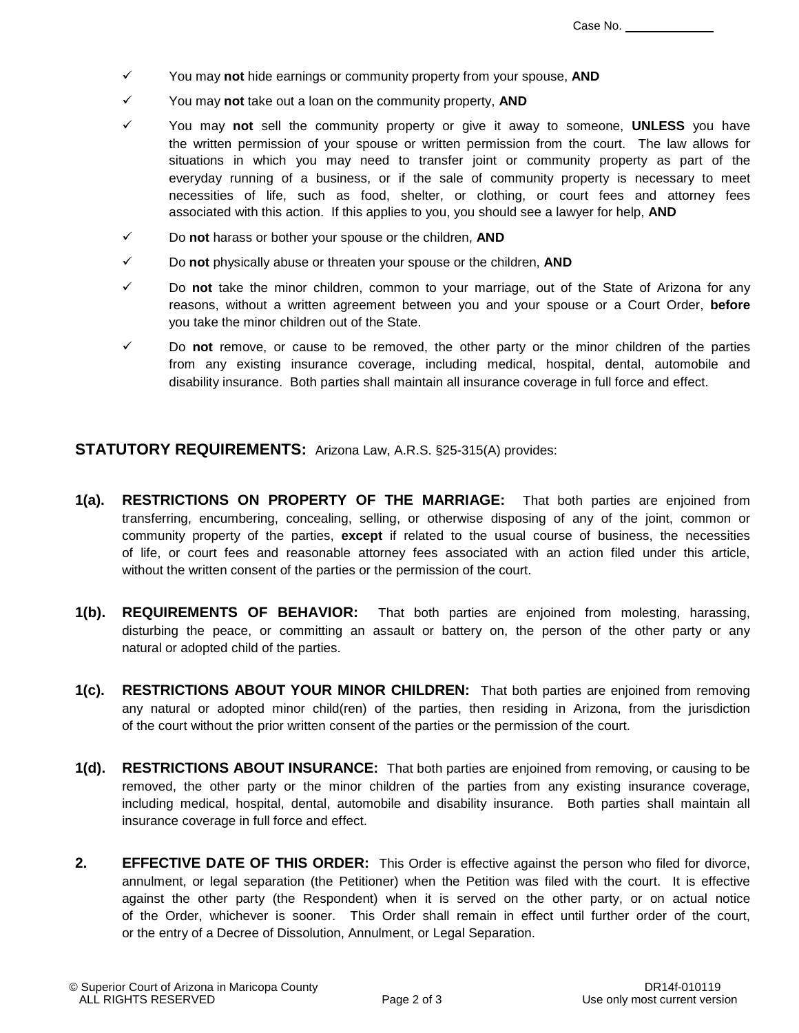- You may **not** hide earnings or community property from your spouse, **AND**
- You may **not** take out a loan on the community property, **AND**
- You may **not** sell the community property or give it away to someone, **UNLESS** you have the written permission of your spouse or written permission from the court. The law allows for situations in which you may need to transfer joint or community property as part of the everyday running of a business, or if the sale of community property is necessary to meet necessities of life, such as food, shelter, or clothing, or court fees and attorney fees associated with this action. If this applies to you, you should see a lawyer for help, **AND**
- Do **not** harass or bother your spouse or the children, **AND**
- Do **not** physically abuse or threaten your spouse or the children, **AND**
- Do **not** take the minor children, common to your marriage, out of the State of Arizona for any reasons, without a written agreement between you and your spouse or a Court Order, **before** you take the minor children out of the State.
- $\checkmark$  Do **not** remove, or cause to be removed, the other party or the minor children of the parties from any existing insurance coverage, including medical, hospital, dental, automobile and disability insurance. Both parties shall maintain all insurance coverage in full force and effect.

**STATUTORY REQUIREMENTS:** Arizona Law, A.R.S. §25-315(A) provides:

- **1(a). RESTRICTIONS ON PROPERTY OF THE MARRIAGE:** That both parties are enjoined from transferring, encumbering, concealing, selling, or otherwise disposing of any of the joint, common or community property of the parties, **except** if related to the usual course of business, the necessities of life, or court fees and reasonable attorney fees associated with an action filed under this article, without the written consent of the parties or the permission of the court.
- **1(b). REQUIREMENTS OF BEHAVIOR:** That both parties are enjoined from molesting, harassing, disturbing the peace, or committing an assault or battery on, the person of the other party or any natural or adopted child of the parties.
- **1(c). RESTRICTIONS ABOUT YOUR MINOR CHILDREN:** That both parties are enjoined from removing any natural or adopted minor child(ren) of the parties, then residing in Arizona, from the jurisdiction of the court without the prior written consent of the parties or the permission of the court.
- **1(d). RESTRICTIONS ABOUT INSURANCE:** That both parties are enjoined from removing, or causing to be removed, the other party or the minor children of the parties from any existing insurance coverage, including medical, hospital, dental, automobile and disability insurance. Both parties shall maintain all insurance coverage in full force and effect.
- **2. EFFECTIVE DATE OF THIS ORDER:** This Order is effective against the person who filed for divorce, annulment, or legal separation (the Petitioner) when the Petition was filed with the court. It is effective against the other party (the Respondent) when it is served on the other party, or on actual notice of the Order, whichever is sooner. This Order shall remain in effect until further order of the court, or the entry of a Decree of Dissolution, Annulment, or Legal Separation.